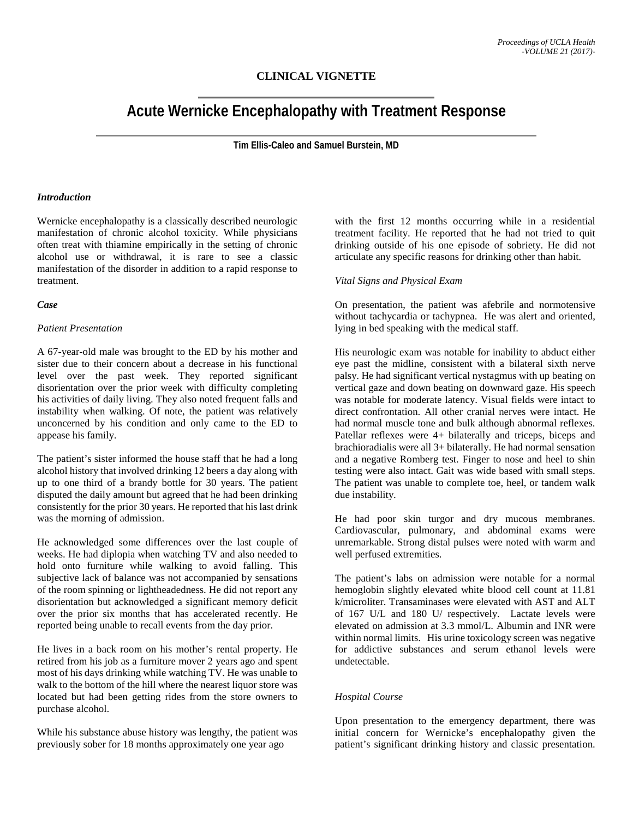# **CLINICAL VIGNETTE**

# **Acute Wernicke Encephalopathy with Treatment Response**

**Tim Ellis-Caleo and Samuel Burstein, MD**

#### *Introduction*

Wernicke encephalopathy is a classically described neurologic manifestation of chronic alcohol toxicity. While physicians often treat with thiamine empirically in the setting of chronic alcohol use or withdrawal, it is rare to see a classic manifestation of the disorder in addition to a rapid response to treatment.

#### *Case*

#### *Patient Presentation*

A 67-year-old male was brought to the ED by his mother and sister due to their concern about a decrease in his functional level over the past week. They reported significant disorientation over the prior week with difficulty completing his activities of daily living. They also noted frequent falls and instability when walking. Of note, the patient was relatively unconcerned by his condition and only came to the ED to appease his family.

The patient's sister informed the house staff that he had a long alcohol history that involved drinking 12 beers a day along with up to one third of a brandy bottle for 30 years. The patient disputed the daily amount but agreed that he had been drinking consistently for the prior 30 years. He reported that his last drink was the morning of admission.

He acknowledged some differences over the last couple of weeks. He had diplopia when watching TV and also needed to hold onto furniture while walking to avoid falling. This subjective lack of balance was not accompanied by sensations of the room spinning or lightheadedness. He did not report any disorientation but acknowledged a significant memory deficit over the prior six months that has accelerated recently. He reported being unable to recall events from the day prior.

He lives in a back room on his mother's rental property. He retired from his job as a furniture mover 2 years ago and spent most of his days drinking while watching TV. He was unable to walk to the bottom of the hill where the nearest liquor store was located but had been getting rides from the store owners to purchase alcohol.

While his substance abuse history was lengthy, the patient was previously sober for 18 months approximately one year ago

with the first 12 months occurring while in a residential treatment facility. He reported that he had not tried to quit drinking outside of his one episode of sobriety. He did not articulate any specific reasons for drinking other than habit.

#### *Vital Signs and Physical Exam*

On presentation, the patient was afebrile and normotensive without tachycardia or tachypnea. He was alert and oriented, lying in bed speaking with the medical staff.

His neurologic exam was notable for inability to abduct either eye past the midline, consistent with a bilateral sixth nerve palsy. He had significant vertical nystagmus with up beating on vertical gaze and down beating on downward gaze. His speech was notable for moderate latency. Visual fields were intact to direct confrontation. All other cranial nerves were intact. He had normal muscle tone and bulk although abnormal reflexes. Patellar reflexes were 4+ bilaterally and triceps, biceps and brachioradialis were all 3+ bilaterally. He had normal sensation and a negative Romberg test. Finger to nose and heel to shin testing were also intact. Gait was wide based with small steps. The patient was unable to complete toe, heel, or tandem walk due instability.

He had poor skin turgor and dry mucous membranes. Cardiovascular, pulmonary, and abdominal exams were unremarkable. Strong distal pulses were noted with warm and well perfused extremities.

The patient's labs on admission were notable for a normal hemoglobin slightly elevated white blood cell count at 11.81 k/microliter. Transaminases were elevated with AST and ALT of 167 U/L and 180 U/ respectively. Lactate levels were elevated on admission at 3.3 mmol/L. Albumin and INR were within normal limits. His urine toxicology screen was negative for addictive substances and serum ethanol levels were undetectable.

#### *Hospital Course*

Upon presentation to the emergency department, there was initial concern for Wernicke's encephalopathy given the patient's significant drinking history and classic presentation.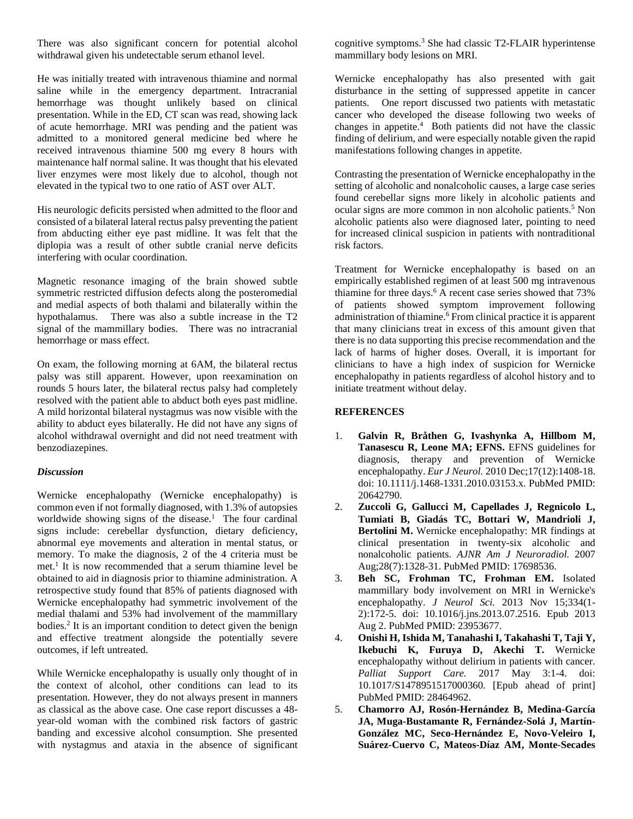There was also significant concern for potential alcohol withdrawal given his undetectable serum ethanol level.

He was initially treated with intravenous thiamine and normal saline while in the emergency department. Intracranial hemorrhage was thought unlikely based on clinical presentation. While in the ED, CT scan was read, showing lack of acute hemorrhage. MRI was pending and the patient was admitted to a monitored general medicine bed where he received intravenous thiamine 500 mg every 8 hours with maintenance half normal saline. It was thought that his elevated liver enzymes were most likely due to alcohol, though not elevated in the typical two to one ratio of AST over ALT.

His neurologic deficits persisted when admitted to the floor and consisted of a bilateral lateral rectus palsy preventing the patient from abducting either eye past midline. It was felt that the diplopia was a result of other subtle cranial nerve deficits interfering with ocular coordination.

Magnetic resonance imaging of the brain showed subtle symmetric restricted diffusion defects along the posteromedial and medial aspects of both thalami and bilaterally within the hypothalamus. There was also a subtle increase in the T2 signal of the mammillary bodies. There was no intracranial hemorrhage or mass effect.

On exam, the following morning at 6AM, the bilateral rectus palsy was still apparent. However, upon reexamination on rounds 5 hours later, the bilateral rectus palsy had completely resolved with the patient able to abduct both eyes past midline. A mild horizontal bilateral nystagmus was now visible with the ability to abduct eyes bilaterally. He did not have any signs of alcohol withdrawal overnight and did not need treatment with benzodiazepines.

## *Discussion*

Wernicke encephalopathy (Wernicke encephalopathy) is common even if not formally diagnosed, with 1.3% of autopsies worldwide showing signs of the disease. <sup>1</sup> The four cardinal signs include: cerebellar dysfunction, dietary deficiency, abnormal eye movements and alteration in mental status, or memory. To make the diagnosis, 2 of the 4 criteria must be met. <sup>1</sup> It is now recommended that a serum thiamine level be obtained to aid in diagnosis prior to thiamine administration. A retrospective study found that 85% of patients diagnosed with Wernicke encephalopathy had symmetric involvement of the medial thalami and 53% had involvement of the mammillary bodies. <sup>2</sup> It is an important condition to detect given the benign and effective treatment alongside the potentially severe outcomes, if left untreated.

While Wernicke encephalopathy is usually only thought of in the context of alcohol, other conditions can lead to its presentation. However, they do not always present in manners as classical as the above case. One case report discusses a 48 year-old woman with the combined risk factors of gastric banding and excessive alcohol consumption. She presented with nystagmus and ataxia in the absence of significant

cognitive symptoms. <sup>3</sup> She had classic T2-FLAIR hyperintense mammillary body lesions on MRI.

Wernicke encephalopathy has also presented with gait disturbance in the setting of suppressed appetite in cancer patients. One report discussed two patients with metastatic cancer who developed the disease following two weeks of changes in appetite. 4 Both patients did not have the classic finding of delirium, and were especially notable given the rapid manifestations following changes in appetite.

Contrasting the presentation of Wernicke encephalopathy in the setting of alcoholic and nonalcoholic causes, a large case series found cerebellar signs more likely in alcoholic patients and ocular signs are more common in non alcoholic patients. <sup>5</sup> Non alcoholic patients also were diagnosed later, pointing to need for increased clinical suspicion in patients with nontraditional risk factors.

Treatment for Wernicke encephalopathy is based on an empirically established regimen of at least 500 mg intravenous thiamine for three days. <sup>6</sup> A recent case series showed that 73% of patients showed symptom improvement following administration of thiamine. <sup>6</sup> From clinical practice it is apparent that many clinicians treat in excess of this amount given that there is no data supporting this precise recommendation and the lack of harms of higher doses. Overall, it is important for clinicians to have a high index of suspicion for Wernicke encephalopathy in patients regardless of alcohol history and to initiate treatment without delay.

## **REFERENCES**

- 1. **Galvin R, Bråthen G, Ivashynka A, Hillbom M, Tanasescu R, Leone MA; EFNS.** EFNS guidelines for diagnosis, therapy and prevention of Wernicke encephalopathy. *Eur J Neurol.* 2010 Dec;17(12):1408-18. doi: 10.1111/j.1468-1331.2010.03153.x. PubMed PMID: 20642790.
- 2. **Zuccoli G, Gallucci M, Capellades J, Regnicolo L, Tumiati B, Giadás TC, Bottari W, Mandrioli J, Bertolini M.** Wernicke encephalopathy: MR findings at clinical presentation in twenty-six alcoholic and nonalcoholic patients. *AJNR Am J Neuroradiol.* 2007 Aug;28(7):1328-31. PubMed PMID: 17698536.
- 3. **Beh SC, Frohman TC, Frohman EM.** Isolated mammillary body involvement on MRI in Wernicke's encephalopathy. *J Neurol Sci.* 2013 Nov 15;334(1- 2):172-5. doi: 10.1016/j.jns.2013.07.2516. Epub 2013 Aug 2. PubMed PMID: 23953677.
- 4. **Onishi H, Ishida M, Tanahashi I, Takahashi T, Taji Y, Ikebuchi K, Furuya D, Akechi T.** Wernicke encephalopathy without delirium in patients with cancer. *Palliat Support Care.* 2017 May 3:1-4. doi: 10.1017/S1478951517000360. [Epub ahead of print] PubMed PMID: 28464962.
- 5. **Chamorro AJ, Rosón-Hernández B, Medina-García JA, Muga-Bustamante R, Fernández-Solá J, Martín-González MC, Seco-Hernández E, Novo-Veleiro I, Suárez-Cuervo C, Mateos-Díaz AM, Monte-Secades**